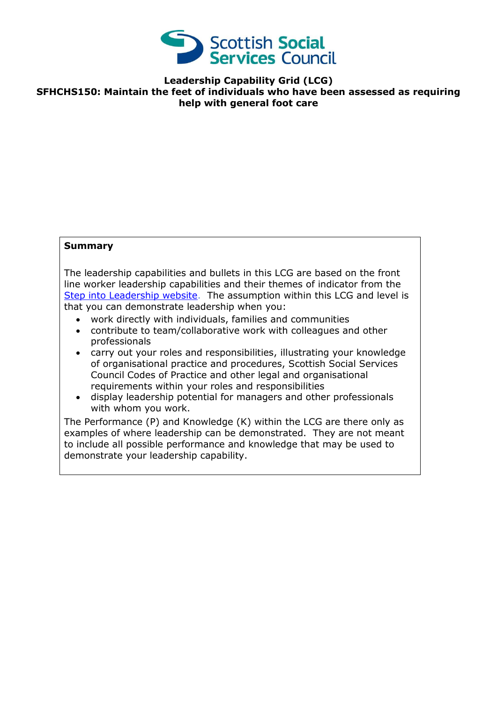

**Leadership Capability Grid (LCG) SFHCHS150: Maintain the feet of individuals who have been assessed as requiring help with general foot care**

## **Summary**

The leadership capabilities and bullets in this LCG are based on the front line worker leadership capabilities and their themes of indicator from the [Step into Leadership website.](http://www.stepintoleadership.info/) The assumption within this LCG and level is that you can demonstrate leadership when you:

- work directly with individuals, families and communities
- contribute to team/collaborative work with colleagues and other professionals
- carry out your roles and responsibilities, illustrating your knowledge of organisational practice and procedures, Scottish Social Services Council Codes of Practice and other legal and organisational requirements within your roles and responsibilities
- display leadership potential for managers and other professionals with whom you work.

The Performance (P) and Knowledge (K) within the LCG are there only as examples of where leadership can be demonstrated. They are not meant to include all possible performance and knowledge that may be used to demonstrate your leadership capability.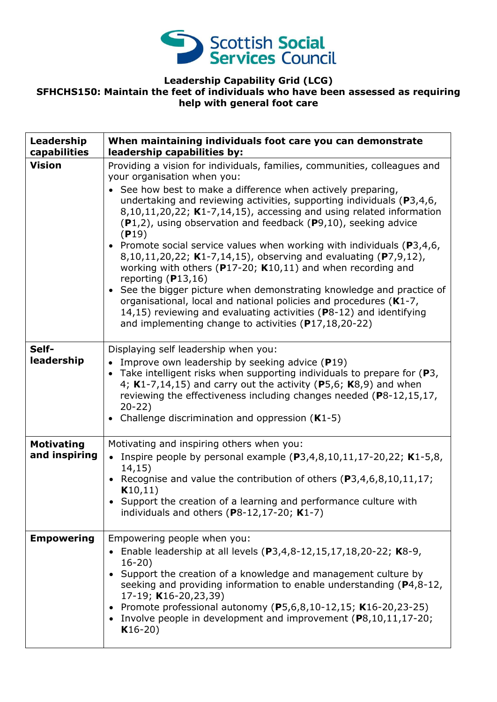

## **Leadership Capability Grid (LCG) SFHCHS150: Maintain the feet of individuals who have been assessed as requiring help with general foot care**

| Leadership<br>capabilities         | When maintaining individuals foot care you can demonstrate<br>leadership capabilities by:                                                                                                                                                                                                                                                                                                                                                                                                                                                                                                                                                                                                                                                                                                                                                                                                                                       |
|------------------------------------|---------------------------------------------------------------------------------------------------------------------------------------------------------------------------------------------------------------------------------------------------------------------------------------------------------------------------------------------------------------------------------------------------------------------------------------------------------------------------------------------------------------------------------------------------------------------------------------------------------------------------------------------------------------------------------------------------------------------------------------------------------------------------------------------------------------------------------------------------------------------------------------------------------------------------------|
| <b>Vision</b>                      | Providing a vision for individuals, families, communities, colleagues and<br>your organisation when you:<br>• See how best to make a difference when actively preparing,<br>undertaking and reviewing activities, supporting individuals ( $P3,4,6$ ,<br>8,10,11,20,22; K1-7,14,15), accessing and using related information<br>(P1,2), using observation and feedback (P9,10), seeking advice<br>(P19)<br>• Promote social service values when working with individuals ( $P3,4,6$ ,<br>8,10,11,20,22; K1-7,14,15), observing and evaluating (P7,9,12),<br>working with others ( $P17-20$ ; K10,11) and when recording and<br>reporting $(P13,16)$<br>• See the bigger picture when demonstrating knowledge and practice of<br>organisational, local and national policies and procedures (K1-7,<br>14,15) reviewing and evaluating activities (P8-12) and identifying<br>and implementing change to activities (P17,18,20-22) |
| Self-<br>leadership                | Displaying self leadership when you:<br>• Improve own leadership by seeking advice $(P19)$<br>• Take intelligent risks when supporting individuals to prepare for $(P3,$<br>4; $K1-7,14,15$ ) and carry out the activity (P5,6; $K8,9$ ) and when<br>reviewing the effectiveness including changes needed (P8-12,15,17,<br>$20-22)$<br>• Challenge discrimination and oppression (K1-5)                                                                                                                                                                                                                                                                                                                                                                                                                                                                                                                                         |
| <b>Motivating</b><br>and inspiring | Motivating and inspiring others when you:<br>• Inspire people by personal example $(P3,4,8,10,11,17-20,22; K1-5,8,$<br>14, 15)<br>• Recognise and value the contribution of others $(P3, 4, 6, 8, 10, 11, 17)$ ;<br>K10,11)<br>• Support the creation of a learning and performance culture with<br>individuals and others ( $P8-12,17-20$ ; K1-7)                                                                                                                                                                                                                                                                                                                                                                                                                                                                                                                                                                              |
| <b>Empowering</b>                  | Empowering people when you:<br>• Enable leadership at all levels $(P3, 4, 8-12, 15, 17, 18, 20-22; K8-9,$<br>$16 - 20$<br>• Support the creation of a knowledge and management culture by<br>seeking and providing information to enable understanding (P4,8-12,<br>17-19; K16-20,23,39)<br>Promote professional autonomy (P5,6,8,10-12,15; K16-20,23-25)<br>• Involve people in development and improvement $(P8, 10, 11, 17-20)$ ;<br>$K16-20)$                                                                                                                                                                                                                                                                                                                                                                                                                                                                               |